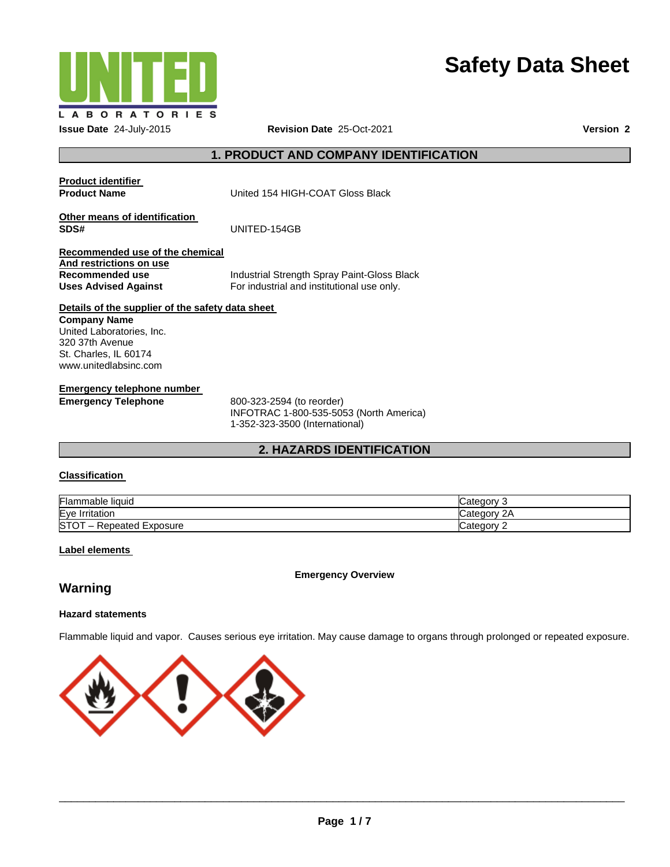

# **Safety Data Sheet**

# **1. PRODUCT AND COMPANY IDENTIFICATION**

| <b>Product identifier</b><br><b>Product Name</b>                                                             | United 154 HIGH-COAT Gloss Black                                                          |
|--------------------------------------------------------------------------------------------------------------|-------------------------------------------------------------------------------------------|
| Other means of identification<br>SDS#                                                                        | UNITED-154GB                                                                              |
| Recommended use of the chemical<br>And restrictions on use<br>Recommended use<br><b>Uses Advised Against</b> | Industrial Strength Spray Paint-Gloss Black<br>For industrial and institutional use only. |
| Details of the supplier of the safety data sheet                                                             |                                                                                           |
| <b>Company Name</b><br>United Laboratories, Inc.                                                             |                                                                                           |
| 320 37th Avenue                                                                                              |                                                                                           |
| St. Charles, IL 60174                                                                                        |                                                                                           |
| www.unitedlabsinc.com                                                                                        |                                                                                           |
| Emergency telephone number                                                                                   |                                                                                           |
| <b>Emergency Telephone</b>                                                                                   | 800-323-2594 (to reorder)                                                                 |

INFOTRAC 1-800-535-5053 (North America) 1-352-323-3500 (International)

# **2. HAZARDS IDENTIFICATION**

# **Classification**

| $\sim$ $\sim$<br>Flam.<br>mable liquid   | atenon                  |
|------------------------------------------|-------------------------|
| Eye<br>Irritatior                        | r<br>`at∆n∩n≀<br>valeuv |
| <b>ISTC</b><br>Exposure<br>≺epeated<br>- | ategor.                 |

### **Label elements**

**Emergency Overview** 

# **Warning**

# **Hazard statements**

Flammable liquid and vapor. Causes serious eye irritation. May cause damage to organs through prolonged or repeated exposure.

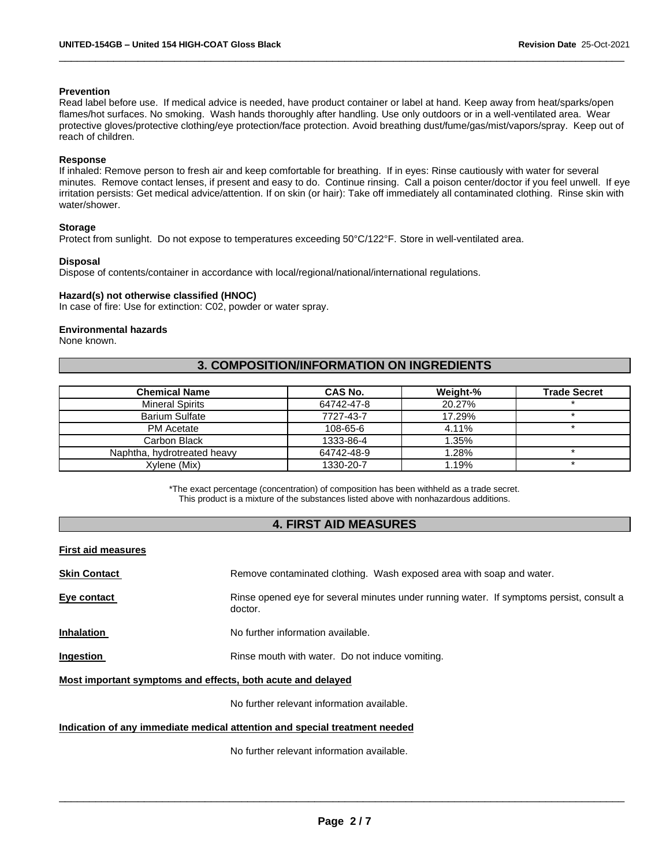#### **Prevention**

Read label before use. If medical advice is needed, have product container or label at hand. Keep away from heat/sparks/open flames/hot surfaces. No smoking. Wash hands thoroughly after handling. Use only outdoors or in a well-ventilated area. Wear protective gloves/protective clothing/eye protection/face protection. Avoid breathing dust/fume/gas/mist/vapors/spray. Keep out of reach of children.

\_\_\_\_\_\_\_\_\_\_\_\_\_\_\_\_\_\_\_\_\_\_\_\_\_\_\_\_\_\_\_\_\_\_\_\_\_\_\_\_\_\_\_\_\_\_\_\_\_\_\_\_\_\_\_\_\_\_\_\_\_\_\_\_\_\_\_\_\_\_\_\_\_\_\_\_\_\_\_\_\_\_\_\_\_\_\_\_\_\_\_\_\_

#### **Response**

If inhaled: Remove person to fresh air and keep comfortable for breathing. If in eyes: Rinse cautiously with water for several minutes. Remove contact lenses, if present and easy to do. Continue rinsing. Call a poison center/doctor if you feel unwell. If eye irritation persists: Get medical advice/attention. If on skin (or hair): Take off immediately all contaminated clothing. Rinse skin with water/shower.

#### **Storage**

Protect from sunlight. Do not expose to temperatures exceeding 50°C/122°F. Store in well-ventilated area.

#### **Disposal**

Dispose of contents/container in accordance with local/regional/national/international regulations.

#### **Hazard(s) not otherwise classified (HNOC)**

In case of fire: Use for extinction: C02, powder or water spray.

#### **Environmental hazards**

None known.

# **3. COMPOSITION/INFORMATION ON INGREDIENTS**

| <b>Chemical Name</b>        | CAS No.    | Weight-% | <b>Trade Secret</b> |
|-----------------------------|------------|----------|---------------------|
| <b>Mineral Spirits</b>      | 64742-47-8 | 20.27%   |                     |
| <b>Barium Sulfate</b>       | 7727-43-7  | 17.29%   |                     |
| <b>PM</b> Acetate           | 108-65-6   | 4.11%    |                     |
| Carbon Black                | 1333-86-4  | 1.35%    |                     |
| Naphtha, hydrotreated heavy | 64742-48-9 | 1.28%    |                     |
| Xvlene (Mix)                | 1330-20-7  | 1.19%    |                     |

\*The exact percentage (concentration) of composition has been withheld as a trade secret. This product is a mixture of the substances listed above with nonhazardous additions.

# **4. FIRST AID MEASURES**

| First aid measures |  |
|--------------------|--|
|--------------------|--|

| <b>Skin Contact</b> | Remove contaminated clothing. Wash exposed area with soap and water.                                |
|---------------------|-----------------------------------------------------------------------------------------------------|
| Eye contact         | Rinse opened eye for several minutes under running water. If symptoms persist, consult a<br>doctor. |

**Inhalation No further information available.** 

**Ingestion Rinse mouth with water.** Do not induce vomiting.

**Most important symptoms and effects, both acute and delayed**

No further relevant information available.

#### **Indication of any immediate medical attention and special treatment needed**

No further relevant information available.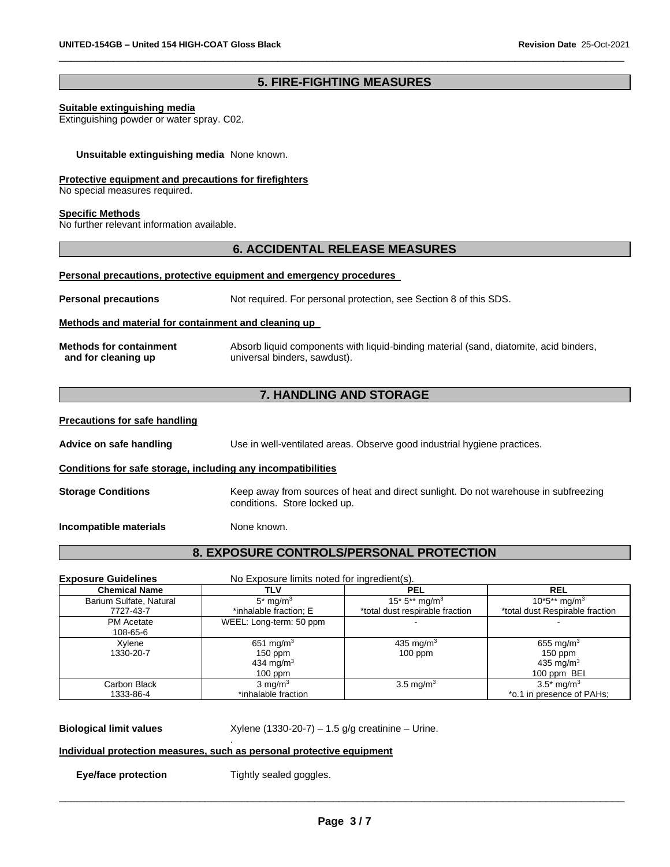# **5. FIRE-FIGHTING MEASURES**

\_\_\_\_\_\_\_\_\_\_\_\_\_\_\_\_\_\_\_\_\_\_\_\_\_\_\_\_\_\_\_\_\_\_\_\_\_\_\_\_\_\_\_\_\_\_\_\_\_\_\_\_\_\_\_\_\_\_\_\_\_\_\_\_\_\_\_\_\_\_\_\_\_\_\_\_\_\_\_\_\_\_\_\_\_\_\_\_\_\_\_\_\_

#### **Suitable extinguishing media**

Extinguishing powder or water spray. C02.

#### **Unsuitable extinguishing media** None known.

#### **Protective equipment and precautions for firefighters**

No special measures required.

#### **Specific Methods**

No further relevant information available.

# **6. ACCIDENTAL RELEASE MEASURES**

#### **Personal precautions, protective equipment and emergency procedures**

**Personal precautions** Not required. For personal protection, see Section 8 of this SDS.

#### **Methods and material for containment and cleaning up**

| <b>Methods for containment</b> | Absorb liquid components with liquid-binding material (sand, diatomite, acid binders, |
|--------------------------------|---------------------------------------------------------------------------------------|
| and for cleaning up            | universal binders, sawdust).                                                          |

# **7. HANDLING AND STORAGE**

#### **Precautions for safe handling**

**Advice on safe handling** Use in well-ventilated areas. Observe good industrial hygiene practices.

#### **Conditions for safe storage, including any incompatibilities**

**Storage Conditions** Keep away from sources of heat and direct sunlight. Do not warehouse in subfreezing conditions. Store locked up.

**Incompatible materials None known.** 

# **8. EXPOSURE CONTROLS/PERSONAL PROTECTION**

| <b>Exposure Guidelines</b> | No Exposure limits noted for ingredient(s). |                                 |                                 |
|----------------------------|---------------------------------------------|---------------------------------|---------------------------------|
| <b>Chemical Name</b>       | TLV                                         | <b>PEL</b>                      | <b>REL</b>                      |
| Barium Sulfate, Natural    | $5*$ mg/m <sup>3</sup>                      | 15* $5**$ mg/m <sup>3</sup>     | $10^*5^{**}$ mg/m <sup>3</sup>  |
| 7727-43-7                  | *inhalable fraction; E                      | *total dust respirable fraction | *total dust Respirable fraction |
| <b>PM</b> Acetate          | WEEL: Long-term: 50 ppm                     |                                 |                                 |
| 108-65-6                   |                                             |                                 |                                 |
| Xylene                     | 651 mg/m <sup>3</sup>                       | 435 mg/m <sup>3</sup>           | 655 mg/m <sup>3</sup>           |
| 1330-20-7                  | $150$ ppm                                   | $100$ ppm                       | $150$ ppm                       |
|                            | 434 mg/m <sup>3</sup>                       |                                 | 435 mg/ $m3$                    |
|                            | $100$ ppm                                   |                                 | 100 ppm BEI                     |
| Carbon Black               | $3 \text{ mg/m}^3$                          | 3.5 mg/m <sup>3</sup>           | $3.5^*$ mg/m <sup>3</sup>       |
| 1333-86-4                  | *inhalable fraction                         |                                 | *o.1 in presence of PAHs;       |

**Biological limit values** Xylene (1330-20-7) – 1.5 g/g creatinine – Urine.

#### . **Individual protection measures, such as personal protective equipment**

**Eye/face protection Tightly sealed goggles.**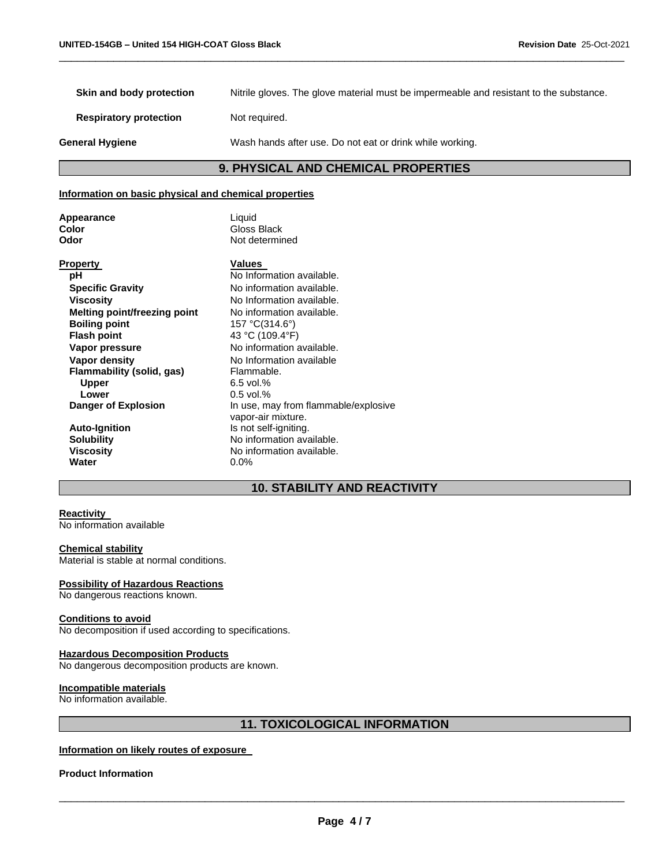**Skin and body protection** Nitrile gloves. The glove material must be impermeable and resistant to the substance.

\_\_\_\_\_\_\_\_\_\_\_\_\_\_\_\_\_\_\_\_\_\_\_\_\_\_\_\_\_\_\_\_\_\_\_\_\_\_\_\_\_\_\_\_\_\_\_\_\_\_\_\_\_\_\_\_\_\_\_\_\_\_\_\_\_\_\_\_\_\_\_\_\_\_\_\_\_\_\_\_\_\_\_\_\_\_\_\_\_\_\_\_\_

**Respiratory protection** Not required.

**General Hygiene** Wash hands after use. Do not eat or drink while working.

# **9. PHYSICAL AND CHEMICAL PROPERTIES**

# **Information on basic physical and chemical properties**

| Appearance |  |
|------------|--|
| Color      |  |
| Odor       |  |

**Liquid Color** Gloss Black **Odor** Not determined

| Property                     | Values                               |
|------------------------------|--------------------------------------|
| рH                           | No Information available.            |
| <b>Specific Gravity</b>      | No information available.            |
| <b>Viscosity</b>             | No Information available.            |
| Melting point/freezing point | No information available.            |
| <b>Boiling point</b>         | 157 °C(314.6°)                       |
| <b>Flash point</b>           | 43 °C (109.4°F)                      |
| Vapor pressure               | No information available.            |
| Vapor density                | No Information available             |
| Flammability (solid, gas)    | Flammable.                           |
| <b>Upper</b>                 | $6.5$ vol.%                          |
| Lower                        | $0.5$ vol.%                          |
| Danger of Explosion          | In use, may from flammable/explosive |
|                              | vapor-air mixture.                   |
| <b>Auto-Ignition</b>         | Is not self-igniting.                |
| <b>Solubility</b>            | No information available.            |
| <b>Viscosity</b>             | No information available.            |
| Water                        | $0.0\%$                              |

# **10. STABILITY AND REACTIVITY**

# **Reactivity**

No information available

### **Chemical stability**

Material is stable at normal conditions.

#### **Possibility of Hazardous Reactions**

No dangerous reactions known.

#### **Conditions to avoid**

No decomposition if used according to specifications.

#### **Hazardous Decomposition Products**

No dangerous decomposition products are known.

#### **Incompatible materials**

No information available.

# **11. TOXICOLOGICAL INFORMATION**

#### **Information on likely routes of exposure**

#### **Product Information**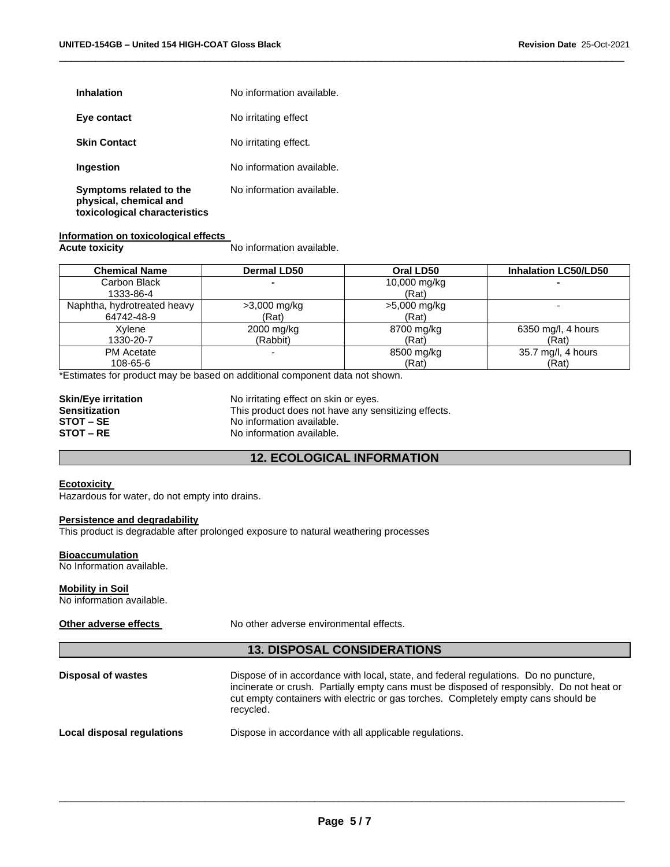| <b>Inhalation</b>                                                                  | No information available. |
|------------------------------------------------------------------------------------|---------------------------|
| Eye contact                                                                        | No irritating effect      |
| <b>Skin Contact</b>                                                                | No irritating effect.     |
| Ingestion                                                                          | No information available. |
| Symptoms related to the<br>physical, chemical and<br>toxicological characteristics | No information available. |

#### **Information on toxicological effects**

**Acute toxicity** No information available.

| <b>Chemical Name</b>        | <b>Dermal LD50</b> | Oral LD50    | <b>Inhalation LC50/LD50</b> |
|-----------------------------|--------------------|--------------|-----------------------------|
| Carbon Black                |                    | 10,000 mg/kg |                             |
| 1333-86-4                   |                    | (Rat)        |                             |
| Naphtha, hydrotreated heavy | $>3,000 \; mg/kg$  | >5,000 mg/kg |                             |
| 64742-48-9                  | (Rat)              | (Rat)        |                             |
| Xvlene                      | 2000 mg/kg         | 8700 mg/kg   | 6350 mg/l, 4 hours          |
| 1330-20-7                   | (Rabbit)           | (Rat)        | (Rat)                       |
| <b>PM</b> Acetate           |                    | 8500 mg/kg   | 35.7 mg/l, 4 hours          |
| 108-65-6                    |                    | (Rat)        | (Rat)                       |

\_\_\_\_\_\_\_\_\_\_\_\_\_\_\_\_\_\_\_\_\_\_\_\_\_\_\_\_\_\_\_\_\_\_\_\_\_\_\_\_\_\_\_\_\_\_\_\_\_\_\_\_\_\_\_\_\_\_\_\_\_\_\_\_\_\_\_\_\_\_\_\_\_\_\_\_\_\_\_\_\_\_\_\_\_\_\_\_\_\_\_\_\_

\*Estimates for product may be based on additional component data not shown.

| <b>Skin/Eye irritation</b> |
|----------------------------|
| <b>Sensitization</b>       |
| STOT – SE                  |
| <b>STOT – RE</b>           |

No irritating effect on skin or eyes. This product does not have any sensitizing effects. No information available. No information available.

# **12. ECOLOGICAL INFORMATION**

#### **Ecotoxicity**

Hazardous for water, do not empty into drains.

#### **Persistence and degradability**

This product is degradable after prolonged exposure to natural weathering processes

#### **Bioaccumulation**

No Information available.

#### **Mobility in Soil**

No information available.

| Other adverse effects      | No other adverse environmental effects.                                                                                                                                                                                                                                              |
|----------------------------|--------------------------------------------------------------------------------------------------------------------------------------------------------------------------------------------------------------------------------------------------------------------------------------|
|                            | <b>13. DISPOSAL CONSIDERATIONS</b>                                                                                                                                                                                                                                                   |
| <b>Disposal of wastes</b>  | Dispose of in accordance with local, state, and federal regulations. Do no puncture,<br>incinerate or crush. Partially empty cans must be disposed of responsibly. Do not heat or<br>cut empty containers with electric or gas torches. Completely empty cans should be<br>recycled. |
| Local disposal regulations | Dispose in accordance with all applicable regulations.                                                                                                                                                                                                                               |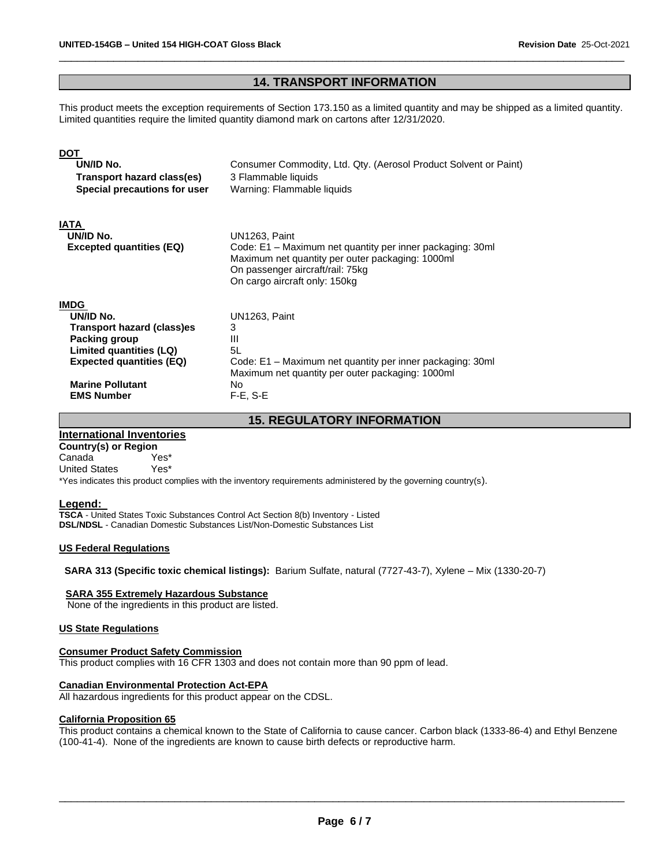# **14. TRANSPORT INFORMATION**

\_\_\_\_\_\_\_\_\_\_\_\_\_\_\_\_\_\_\_\_\_\_\_\_\_\_\_\_\_\_\_\_\_\_\_\_\_\_\_\_\_\_\_\_\_\_\_\_\_\_\_\_\_\_\_\_\_\_\_\_\_\_\_\_\_\_\_\_\_\_\_\_\_\_\_\_\_\_\_\_\_\_\_\_\_\_\_\_\_\_\_\_\_

This product meets the exception requirements of Section 173.150 as a limited quantity and may be shipped as a limited quantity. Limited quantities require the limited quantity diamond mark on cartons after 12/31/2020.

| <b>DOT</b><br>UN/ID No.<br>Transport hazard class(es)<br>Special precautions for user                                                                                                        | Consumer Commodity, Ltd. Qty. (Aerosol Product Solvent or Paint)<br>3 Flammable liquids<br>Warning: Flammable liquids                                                                               |
|----------------------------------------------------------------------------------------------------------------------------------------------------------------------------------------------|-----------------------------------------------------------------------------------------------------------------------------------------------------------------------------------------------------|
| <b>IATA</b><br>UN/ID No.<br><b>Excepted quantities (EQ)</b>                                                                                                                                  | UN1263, Paint<br>Code: E1 – Maximum net quantity per inner packaging: 30ml<br>Maximum net quantity per outer packaging: 1000ml<br>On passenger aircraft/rail: 75kg<br>On cargo aircraft only: 150kg |
| <b>IMDG</b><br>UN/ID No.<br><b>Transport hazard (class)es</b><br>Packing group<br>Limited quantities (LQ)<br><b>Expected quantities (EQ)</b><br><b>Marine Pollutant</b><br><b>EMS Number</b> | UN1263, Paint<br>3<br>Ш<br>5L<br>Code: E1 - Maximum net quantity per inner packaging: 30ml<br>Maximum net quantity per outer packaging: 1000ml<br>No.<br>$F-E$ , $S-E$                              |

**15. REGULATORY INFORMATION** 

# **International Inventories**

**Country(s) or Region** Canada Yes\* United States Yes\*

\*Yes indicates this product complies with the inventory requirements administered by the governing country(s).

#### **Legend:**

**TSCA** - United States Toxic Substances Control Act Section 8(b) Inventory - Listed **DSL/NDSL** - Canadian Domestic Substances List/Non-Domestic Substances List

#### **US Federal Regulations**

**SARA 313 (Specific toxic chemical listings):** Barium Sulfate, natural (7727-43-7), Xylene – Mix (1330-20-7)

#### **SARA 355 Extremely Hazardous Substance**

None of the ingredients in this product are listed.

#### **US State Regulations**

#### **Consumer Product Safety Commission**

This product complies with 16 CFR 1303 and does not contain more than 90 ppm of lead.

#### **Canadian Environmental Protection Act-EPA**

All hazardous ingredients for this product appear on the CDSL.

#### **California Proposition 65**

This product contains a chemical known to the State of California to cause cancer. Carbon black (1333-86-4) and Ethyl Benzene (100-41-4). None of the ingredients are known to cause birth defects or reproductive harm.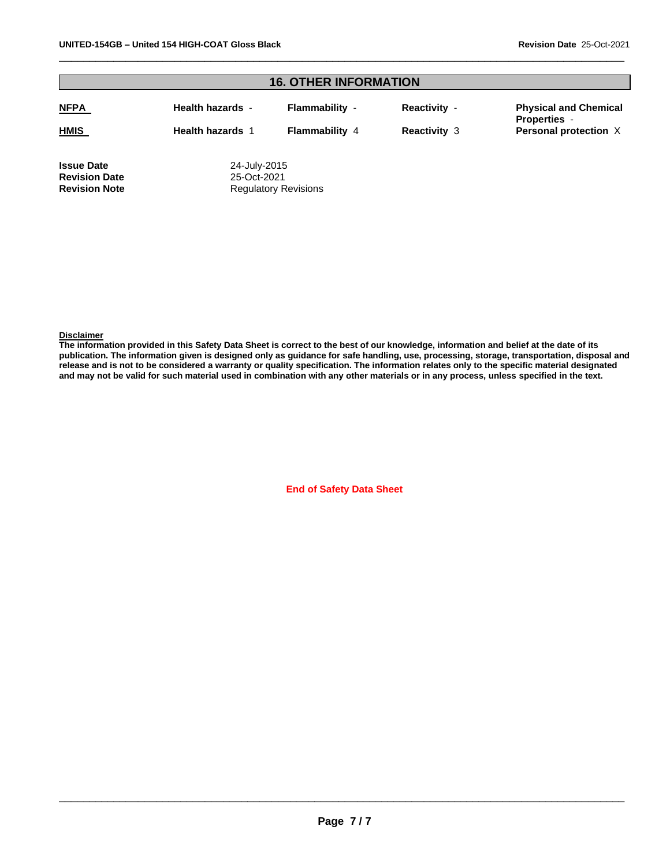| <b>16. OTHER INFORMATION</b> |                             |                       |                     |                                                     |
|------------------------------|-----------------------------|-----------------------|---------------------|-----------------------------------------------------|
| <b>NFPA</b>                  | <b>Health hazards</b> -     | Flammability -        | <b>Reactivity -</b> | <b>Physical and Chemical</b><br><b>Properties -</b> |
| <b>HMIS</b>                  | <b>Health hazards 1</b>     | <b>Flammability 4</b> | <b>Reactivity 3</b> | Personal protection X                               |
| <b>Issue Date</b>            | 24-July-2015                |                       |                     |                                                     |
| <b>Revision Date</b>         |                             | 25-Oct-2021           |                     |                                                     |
| <b>Revision Note</b>         | <b>Regulatory Revisions</b> |                       |                     |                                                     |

\_\_\_\_\_\_\_\_\_\_\_\_\_\_\_\_\_\_\_\_\_\_\_\_\_\_\_\_\_\_\_\_\_\_\_\_\_\_\_\_\_\_\_\_\_\_\_\_\_\_\_\_\_\_\_\_\_\_\_\_\_\_\_\_\_\_\_\_\_\_\_\_\_\_\_\_\_\_\_\_\_\_\_\_\_\_\_\_\_\_\_\_\_

#### **Disclaimer**

**The information provided in this Safety Data Sheet is correct to the best of our knowledge, information and belief at the date of its publication. The information given is designed only as guidance for safe handling, use, processing, storage, transportation, disposal and release and is not to be considered a warranty or quality specification. The information relates only to the specific material designated and may not be valid for such material used in combination with any other materials or in any process, unless specified in the text.**

**End of Safety Data Sheet**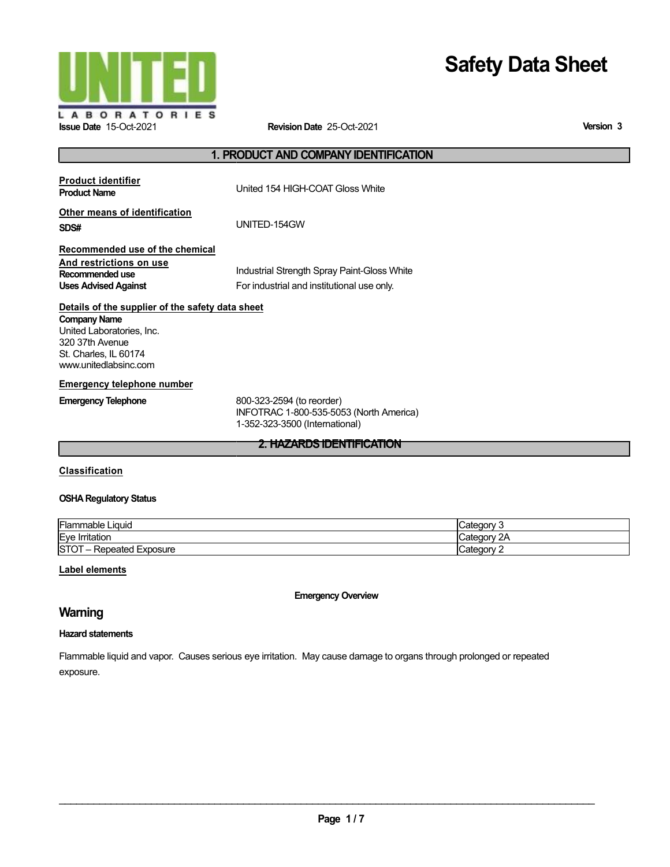

# **Safety Data Sheet**

**Version 3**

# **1. PRODUCT AND COMPANYIDENTIFICATION**

| <b>Product identifier</b><br><b>Product Name</b>                                                                                                                          | United 154 HIGH-COAT Gloss White                                                                       |
|---------------------------------------------------------------------------------------------------------------------------------------------------------------------------|--------------------------------------------------------------------------------------------------------|
| Other means of identification<br>SDS#                                                                                                                                     | UNITED-154GW                                                                                           |
| Recommended use of the chemical<br>And restrictions on use<br>Recommended use<br><b>Uses Advised Against</b>                                                              | Industrial Strength Spray Paint-Gloss White<br>For industrial and institutional use only.              |
| Details of the supplier of the safety data sheet<br><b>Company Name</b><br>United Laboratories, Inc.<br>320 37th Avenue<br>St. Charles, IL 60174<br>www.unitedlabsinc.com |                                                                                                        |
| <b>Emergency telephone number</b>                                                                                                                                         |                                                                                                        |
| <b>Emergency Telephone</b>                                                                                                                                                | 800-323-2594 (to reorder)<br>INFOTRAC 1-800-535-5053 (North America)<br>1-352-323-3500 (International) |
|                                                                                                                                                                           | <b>2. HAZARDS IDENTIFICATION</b>                                                                       |

# **Classification**

### **OSHA Regulatory Status**

| Flammable Liquid                   | Jategory <sup>-</sup>       |
|------------------------------------|-----------------------------|
| <b>Eye Irritation</b>              | 2 <sup>A</sup><br>'ategory. |
| <b>STOT</b><br>- Repeated Exposure | ' ategory:                  |

# **Label elements**

**Emergency Overview**

# **Warning**

## **Hazard statements**

Flammable liquid and vapor. Causes serious eye irritation. May cause damage to organs through prolonged or repeated exposure.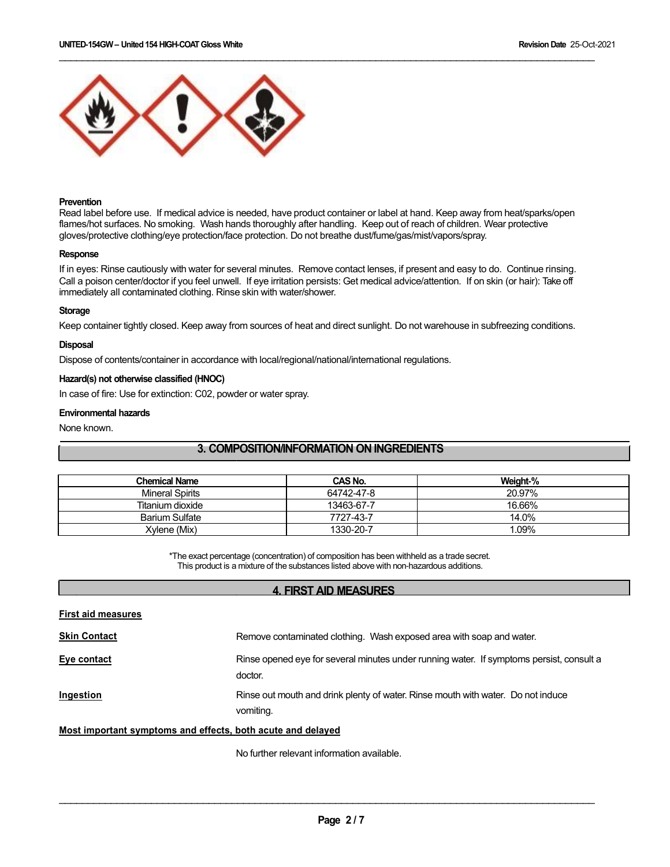

#### **Prevention**

Read label before use. If medical advice is needed, have product container or label at hand. Keep away from heat/sparks/open flames/hot surfaces. No smoking. Wash hands thoroughly after handling. Keep out of reach of children. Wear protective gloves/protective clothing/eye protection/face protection. Do not breathe dust/fume/gas/mist/vapors/spray.

\_\_\_\_\_\_\_\_\_\_\_\_\_\_\_\_\_\_\_\_\_\_\_\_\_\_\_\_\_\_\_\_\_\_\_\_\_\_\_\_\_\_\_\_\_\_\_\_\_\_\_\_\_\_\_\_\_\_\_\_\_\_\_\_\_\_\_\_\_\_\_\_\_\_\_\_\_\_\_\_\_\_\_\_\_\_\_\_\_\_\_\_\_

#### **Response**

If in eyes: Rinse cautiously with water for several minutes. Remove contact lenses, if present and easy to do. Continue rinsing. Call a poison center/doctor if you feel unwell. If eye irritation persists: Get medical advice/attention. If on skin (or hair): Take off immediately all contaminated clothing. Rinse skin with water/shower.

#### **Storage**

Keep container tightly closed. Keep away from sources of heat and direct sunlight. Do not warehouse in subfreezing conditions.

#### **Disposal**

Dispose of contents/container in accordance with local/regional/national/international regulations.

# **Hazard(s) not otherwise classified (HNOC)**

In case of fire: Use for extinction: C02, powder or water spray.

#### **Environmental hazards**

None known.

# **3. COMPOSITION/INFORMATION ON INGREDIENTS**

| <b>Chemical Name</b>   | CAS No.    | Weight-% |
|------------------------|------------|----------|
| <b>Mineral Spirits</b> | 64742-47-8 | 20.97%   |
| Titanium dioxide       | 13463-67-7 | 16.66%   |
| <b>Barium Sulfate</b>  | 7727-43-7  | 14.0%    |
| Xvlene (Mix)           | 1330-20-7  | 1.09%    |

\*The exact percentage (concentration) of composition has been withheld as a trade secret. This product is a mixture of the substances listed above with non-hazardous additions.

#### **4. FIRST AID MEASURES**

| <b>First aid measures</b>                                   |                                                                                                     |
|-------------------------------------------------------------|-----------------------------------------------------------------------------------------------------|
| <b>Skin Contact</b>                                         | Remove contaminated clothing. Wash exposed area with soap and water.                                |
| Eye contact                                                 | Rinse opened eye for several minutes under running water. If symptoms persist, consult a<br>doctor. |
| Ingestion                                                   | Rinse out mouth and drink plenty of water. Rinse mouth with water. Do not induce<br>vomiting.       |
| Most important symptoms and effects, both acute and delayed |                                                                                                     |

No further relevant information available.

 $\mathcal{L}_\mathcal{L} = \{ \mathcal{L}_\mathcal{L} = \{ \mathcal{L}_\mathcal{L} = \{ \mathcal{L}_\mathcal{L} = \{ \mathcal{L}_\mathcal{L} = \{ \mathcal{L}_\mathcal{L} = \{ \mathcal{L}_\mathcal{L} = \{ \mathcal{L}_\mathcal{L} = \{ \mathcal{L}_\mathcal{L} = \{ \mathcal{L}_\mathcal{L} = \{ \mathcal{L}_\mathcal{L} = \{ \mathcal{L}_\mathcal{L} = \{ \mathcal{L}_\mathcal{L} = \{ \mathcal{L}_\mathcal{L} = \{ \mathcal{L}_\mathcal{$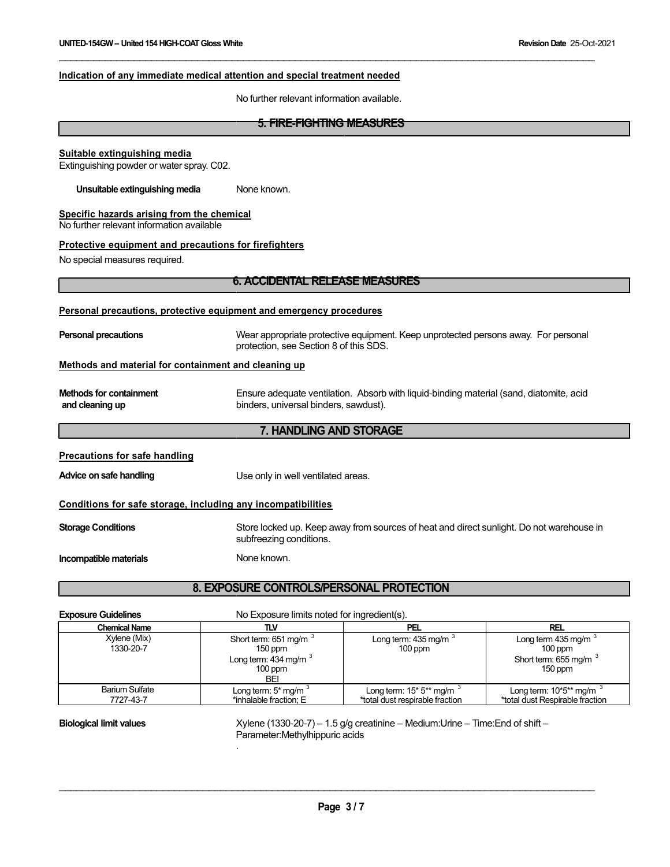#### **Indication of any immediate medical attention and special treatment needed**

No further relevant information available.

\_\_\_\_\_\_\_\_\_\_\_\_\_\_\_\_\_\_\_\_\_\_\_\_\_\_\_\_\_\_\_\_\_\_\_\_\_\_\_\_\_\_\_\_\_\_\_\_\_\_\_\_\_\_\_\_\_\_\_\_\_\_\_\_\_\_\_\_\_\_\_\_\_\_\_\_\_\_\_\_\_\_\_\_\_\_\_\_\_\_\_\_\_

# **5. FIRE-FIGHTING MEASURES Suitable extinguishing media** Extinguishing powder or water spray. C02. **Unsuitable extinguishing media** None known. **Specific hazards arising from the chemical** No further relevant information available **Protective equipment and precautions for firefighters** No special measures required. **6. ACCIDENTAL RELEASE MEASURES Personal precautions, protective equipment and emergency procedures Personal precautions** Wear appropriate protective equipment. Keep unprotected persons away. For personal protection, see Section 8 of this SDS. **Methods and material for containment and cleaning up Methods for containment and cleaning up Precautions for safe handling Advice on safe handling** Ensure adequate ventilation. Absorb with liquid-binding material (sand, diatomite, acid binders, universal binders, sawdust). **7. HANDLING AND STORAGE** Use only in well ventilated areas. **Conditions for safe storage, including any incompatibilities Storage Conditions Incompatible materials** Store locked up. Keep away from sources of heat and direct sunlight. Do not warehouse in subfreezing conditions. None known. **8. EXPOSURE CONTROLS/PERSONAL PROTECTION**

**Exposure Guidelines** No Exposure limits noted for ingredient(s).

.

| <b>Chemical Name</b>               | πv                                                                                              | PEL                                                                      | <b>REL</b>                                                                           |
|------------------------------------|-------------------------------------------------------------------------------------------------|--------------------------------------------------------------------------|--------------------------------------------------------------------------------------|
| Xylene (Mix)<br>1330-20-7          | Short term: 651 mg/m <sup>3</sup><br>$150$ ppm<br>Long term: $434$ mg/m $3$<br>$100$ ppm<br>BEI | Long term: $435 \,\mathrm{mg/m}$<br>$100$ ppm                            | Long term $435$ mg/m $\degree$<br>$100$ ppm<br>Short term: 655 mg/m $3$<br>$150$ ppm |
| <b>Barium Sulfate</b><br>7727-43-7 | Long term: $5*$ mg/m $3*$<br>*inhalable fraction; E                                             | Long term: $15*5**$ mg/m <sup>3</sup><br>*total dust respirable fraction | Long term: $10*5**$ mg/m<br>*total dust Respirable fraction                          |

**Biological limit values** Xylene (1330-20-7) – 1.5 g/g creatinine – Medium:Urine – Time:End of shift – Parameter:Methylhippuric acids

 $\mathcal{L}_\mathcal{L} = \{ \mathcal{L}_\mathcal{L} = \{ \mathcal{L}_\mathcal{L} = \{ \mathcal{L}_\mathcal{L} = \{ \mathcal{L}_\mathcal{L} = \{ \mathcal{L}_\mathcal{L} = \{ \mathcal{L}_\mathcal{L} = \{ \mathcal{L}_\mathcal{L} = \{ \mathcal{L}_\mathcal{L} = \{ \mathcal{L}_\mathcal{L} = \{ \mathcal{L}_\mathcal{L} = \{ \mathcal{L}_\mathcal{L} = \{ \mathcal{L}_\mathcal{L} = \{ \mathcal{L}_\mathcal{L} = \{ \mathcal{L}_\mathcal{$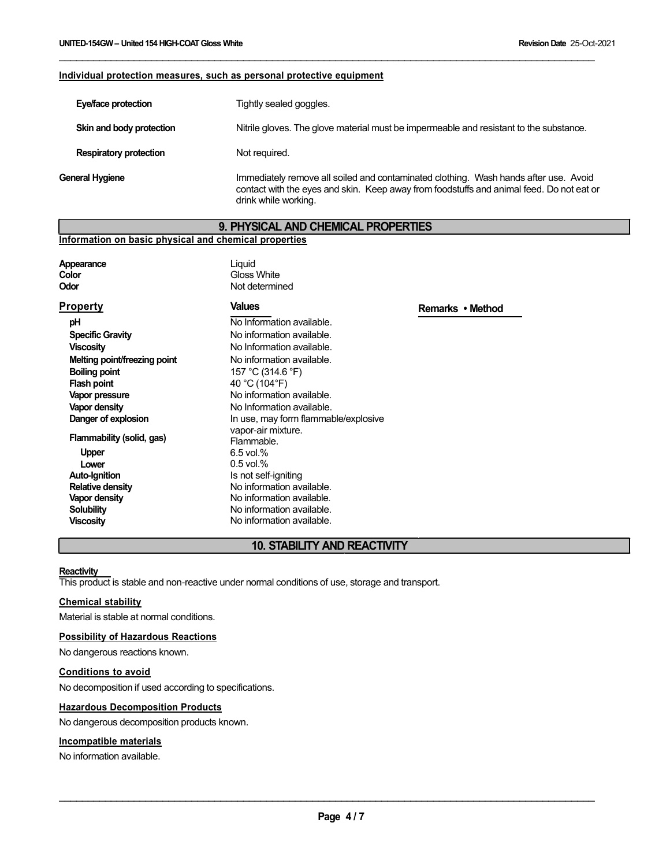#### **Individual protection measures, such as personal protective equipment**

| Eye/face protection           | Tightly sealed goggles.                                                                                                                                                                                  |
|-------------------------------|----------------------------------------------------------------------------------------------------------------------------------------------------------------------------------------------------------|
| Skin and body protection      | Nitrile gloves. The glove material must be impermeable and resistant to the substance.                                                                                                                   |
| <b>Respiratory protection</b> | Not required.                                                                                                                                                                                            |
| General Hygiene               | Immediately remove all soiled and contaminated clothing. Wash hands after use. Avoid<br>contact with the eyes and skin. Keep away from foodstuffs and animal feed. Do not eat or<br>drink while working. |

\_\_\_\_\_\_\_\_\_\_\_\_\_\_\_\_\_\_\_\_\_\_\_\_\_\_\_\_\_\_\_\_\_\_\_\_\_\_\_\_\_\_\_\_\_\_\_\_\_\_\_\_\_\_\_\_\_\_\_\_\_\_\_\_\_\_\_\_\_\_\_\_\_\_\_\_\_\_\_\_\_\_\_\_\_\_\_\_\_\_\_\_\_

#### **9. PHYSICAL AND CHEMICAL PROPERTIES**

**Remarks • Method**

#### **Information on basic physical and chemical properties**

**Appearance Color Odor**

**Property pH**

Liquid Gloss White Not determined

#### **Values**

**Specific Gravity Viscosity Melting point/freezing point Boiling point Flash point Vapor pressure Vapor density Danger of explosion Flammability (solid, gas) Upper Lower Auto-Ignition Relative density Vapor density Solubility Viscosity** No Information available. No information available. No Information available. No information available. 157 °C (314.6 °F) 40 °C (104°F) No information available. No Information available. In use, may form flammable/explosive vapor-air mixture. Flammable. 6.5 vol.% 0.5 vol.% Is not self-igniting No information available. No information available. No information available. No information available.

#### **10. STABILITY AND REACTIVITY**

#### **Reactivity**

This product is stable and non-reactive under normal conditions of use, storage and transport.

#### **Chemical stability**

Material is stable at normal conditions.

#### **Possibility of Hazardous Reactions**

No dangerous reactions known.

#### **Conditions to avoid**

No decomposition if used according to specifications.

#### **Hazardous Decomposition Products**

No dangerous decomposition products known.

## **Incompatible materials**

No information available.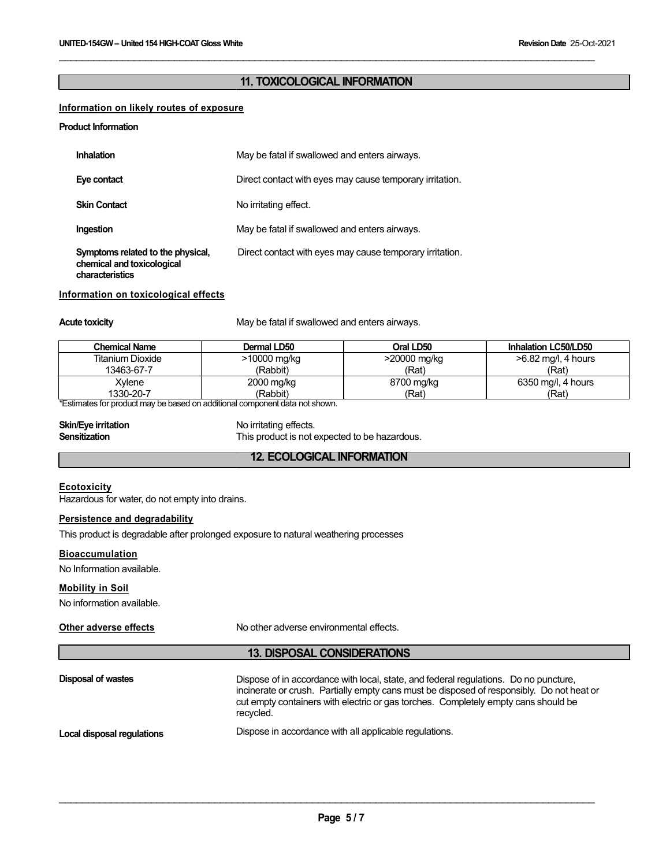# **11. TOXICOLOGICAL INFORMATION**

\_\_\_\_\_\_\_\_\_\_\_\_\_\_\_\_\_\_\_\_\_\_\_\_\_\_\_\_\_\_\_\_\_\_\_\_\_\_\_\_\_\_\_\_\_\_\_\_\_\_\_\_\_\_\_\_\_\_\_\_\_\_\_\_\_\_\_\_\_\_\_\_\_\_\_\_\_\_\_\_\_\_\_\_\_\_\_\_\_\_\_\_\_

# **Information on likely routes of exposure**

#### **Product Information**

| <b>Inhalation</b>                                                                  | May be fatal if swallowed and enters airways.            |
|------------------------------------------------------------------------------------|----------------------------------------------------------|
| Eye contact                                                                        | Direct contact with eyes may cause temporary irritation. |
| <b>Skin Contact</b>                                                                | No irritating effect.                                    |
| Ingestion                                                                          | May be fatal if swallowed and enters airways.            |
| Symptoms related to the physical,<br>chemical and toxicological<br>characteristics | Direct contact with eyes may cause temporary irritation. |

#### **Information on toxicological effects**

Acute toxicity **May be fatal if swallowed and enters airways.** May be fatal if swallowed and enters airways.

| <b>Chemical Name</b>                                                       | Dermal LD50  | Oral LD50    | Inhalation LC50/LD50 |
|----------------------------------------------------------------------------|--------------|--------------|----------------------|
| Titanium Dioxide                                                           | >10000 mg/kg | >20000 mg/kg | >6.82 mg/l, 4 hours  |
| 13463-67-7                                                                 | (Rabbit)     | (Rat)        | (Rat)                |
| Xylene                                                                     | 2000 mg/kg   | 8700 mg/kg   | 6350 mg/l, 4 hours   |
| 1330-20-7                                                                  | (Rabbit)     | (Rat)        | (Rat)                |
| *Estimates for product may be based on additional component data not shown |              |              |                      |

\*Estimates for product may be based on additional component data not shown.

| <b>Skin/Eye irritation</b> | No irritating effects.                        |
|----------------------------|-----------------------------------------------|
| Sensitization              | This product is not expected to be hazardous. |

# **12. ECOLOGICAL INFORMATION**

#### **Ecotoxicity**

Hazardous for water, do not empty into drains.

# **Persistence and degradability**

This product is degradable after prolonged exposure to natural weathering processes

#### **Bioaccumulation**

No Information available.

#### **Mobility in Soil**

No information available.

#### **Other adverse effects**

No other adverse environmental effects.

#### **13. DISPOSAL CONSIDERATIONS**

| Disposal of wastes         | Dispose of in accordance with local, state, and federal regulations. Do no puncture,<br>incinerate or crush. Partially empty cans must be disposed of responsibly. Do not heat or<br>cut empty containers with electric or gas torches. Completely empty cans should be<br>recvcled. |
|----------------------------|--------------------------------------------------------------------------------------------------------------------------------------------------------------------------------------------------------------------------------------------------------------------------------------|
| Local disposal regulations | Dispose in accordance with all applicable regulations.                                                                                                                                                                                                                               |

 $\mathcal{L}_\mathcal{L} = \{ \mathcal{L}_\mathcal{L} = \{ \mathcal{L}_\mathcal{L} = \{ \mathcal{L}_\mathcal{L} = \{ \mathcal{L}_\mathcal{L} = \{ \mathcal{L}_\mathcal{L} = \{ \mathcal{L}_\mathcal{L} = \{ \mathcal{L}_\mathcal{L} = \{ \mathcal{L}_\mathcal{L} = \{ \mathcal{L}_\mathcal{L} = \{ \mathcal{L}_\mathcal{L} = \{ \mathcal{L}_\mathcal{L} = \{ \mathcal{L}_\mathcal{L} = \{ \mathcal{L}_\mathcal{L} = \{ \mathcal{L}_\mathcal{$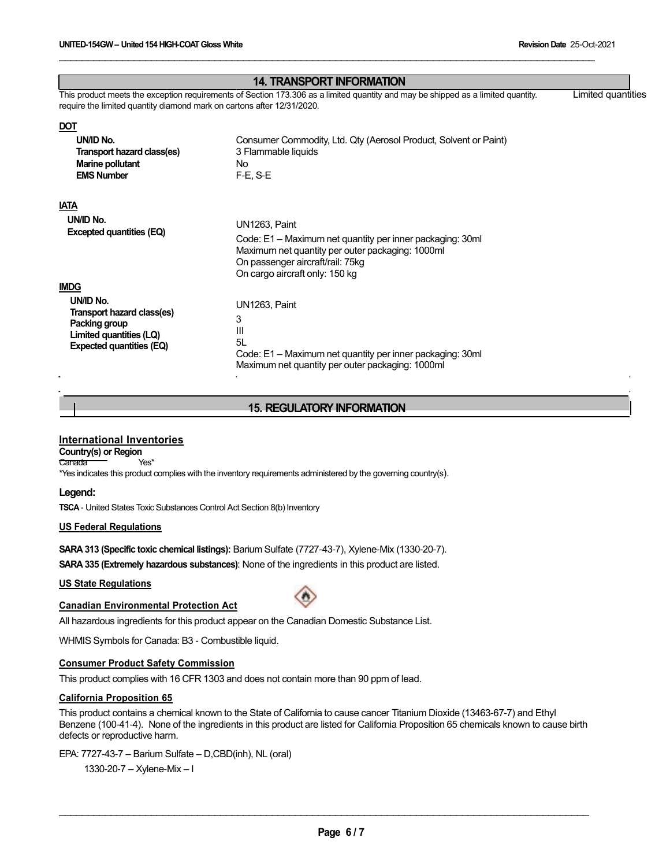|                                                                        | <b>14. TRANSPORT INFORMATION</b><br>This product meets the exception requirements of Section 173.306 as a limited quantity and may be shipped as a limited quantity. | Limited quantities |
|------------------------------------------------------------------------|----------------------------------------------------------------------------------------------------------------------------------------------------------------------|--------------------|
| require the limited quantity diamond mark on cartons after 12/31/2020. |                                                                                                                                                                      |                    |
| <b>DOT</b>                                                             |                                                                                                                                                                      |                    |
| UN/ID No.                                                              | Consumer Commodity, Ltd. Qty (Aerosol Product, Solvent or Paint)                                                                                                     |                    |
| Transport hazard class(es)                                             | 3 Flammable liquids                                                                                                                                                  |                    |
| Marine pollutant                                                       | No.                                                                                                                                                                  |                    |
| <b>EMS Number</b>                                                      | $F-E$ , S-E                                                                                                                                                          |                    |
|                                                                        |                                                                                                                                                                      |                    |
| <b>IATA</b>                                                            |                                                                                                                                                                      |                    |
| UN/ID No.                                                              | UN1263, Paint                                                                                                                                                        |                    |
| Excepted quantities (EQ)                                               |                                                                                                                                                                      |                    |
|                                                                        | Code: E1 – Maximum net quantity per inner packaging: 30ml                                                                                                            |                    |
|                                                                        | Maximum net quantity per outer packaging: 1000ml<br>On passenger aircraft/rail: 75kg                                                                                 |                    |
|                                                                        | On cargo aircraft only: 150 kg                                                                                                                                       |                    |
| <b>IMDG</b>                                                            |                                                                                                                                                                      |                    |
| UN/ID No.                                                              |                                                                                                                                                                      |                    |
| Transport hazard class(es)                                             | UN1263, Paint                                                                                                                                                        |                    |
| Packing group                                                          | 3                                                                                                                                                                    |                    |
| Limited quantities (LQ)                                                | III                                                                                                                                                                  |                    |
| <b>Expected quantities (EQ)</b>                                        | 5L                                                                                                                                                                   |                    |
|                                                                        | Code: E1 – Maximum net quantity per inner packaging: 30ml                                                                                                            |                    |
|                                                                        | Maximum net quantity per outer packaging: 1000ml                                                                                                                     |                    |

\_\_\_\_\_\_\_\_\_\_\_\_\_\_\_\_\_\_\_\_\_\_\_\_\_\_\_\_\_\_\_\_\_\_\_\_\_\_\_\_\_\_\_\_\_\_\_\_\_\_\_\_\_\_\_\_\_\_\_\_\_\_\_\_\_\_\_\_\_\_\_\_\_\_\_\_\_\_\_\_\_\_\_\_\_\_\_\_\_\_\_\_\_

# **15. REGULATORYINFORMATION**

# **International Inventories**

**Country(s) or Region** Canada Yes<sup>\*</sup>

\*Yes indicates this product complies with the inventory requirements administered by the governing country(s).

#### **Legend:**

**TSCA** - United States Toxic Substances Control Act Section 8(b) Inventory

#### **US Federal Regulations**

**SARA 313 (Specific toxic chemical listings):** Barium Sulfate (7727-43-7), Xylene-Mix (1330-20-7).

**SARA 335 (Extremely hazardous substances)**: None of the ingredients in this product are listed.

#### **US State Regulations**

#### **Canadian Environmental Protection Act**



All hazardous ingredients for this product appear on the Canadian Domestic Substance List.

WHMIS Symbols for Canada: B3 - Combustible liquid.

# **Consumer Product Safety Commission**

This product complies with 16 CFR 1303 and does not contain more than 90 ppm of lead.

#### **California Proposition 65**

This product contains a chemical known to the State of California to cause cancer Titanium Dioxide (13463-67-7) and Ethyl Benzene (100-41-4). None of the ingredients in this product are listed for California Proposition 65 chemicals known to cause birth defects or reproductive harm.

\_\_\_\_\_\_\_\_\_\_\_\_\_\_\_\_\_\_\_\_\_\_\_\_\_\_\_\_\_\_\_\_\_\_\_\_\_\_\_\_\_\_\_\_\_\_\_\_\_\_\_\_\_\_\_\_\_\_\_\_\_\_\_\_\_\_\_\_\_\_\_\_\_\_\_\_\_\_\_\_\_\_\_\_\_\_\_\_\_\_\_\_

EPA: 7727-43-7 – Barium Sulfate – D,CBD(inh), NL (oral)

1330-20-7 – Xylene-Mix – I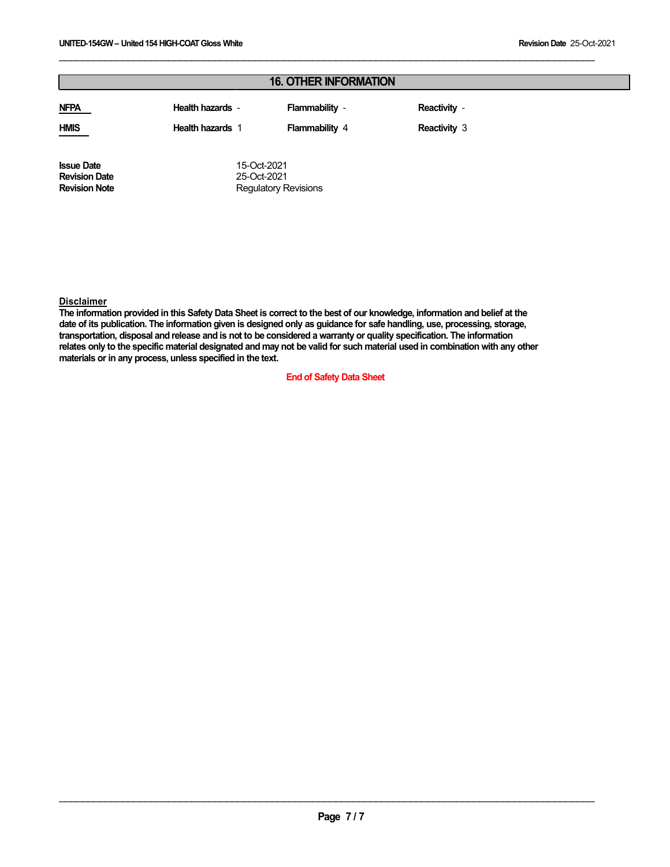| <b>16. OTHER INFORMATION</b>              |                            |                       |                     |  |
|-------------------------------------------|----------------------------|-----------------------|---------------------|--|
| <b>NFPA</b>                               | Health hazards -           | Flammability -        | Reactivity -        |  |
| <b>HMIS</b>                               | <b>Health hazards 1</b>    | <b>Flammability 4</b> | <b>Reactivity 3</b> |  |
| <b>Issue Date</b><br><b>Revision Date</b> | 15-Oct-2021<br>25-Oct-2021 |                       |                     |  |

\_\_\_\_\_\_\_\_\_\_\_\_\_\_\_\_\_\_\_\_\_\_\_\_\_\_\_\_\_\_\_\_\_\_\_\_\_\_\_\_\_\_\_\_\_\_\_\_\_\_\_\_\_\_\_\_\_\_\_\_\_\_\_\_\_\_\_\_\_\_\_\_\_\_\_\_\_\_\_\_\_\_\_\_\_\_\_\_\_\_\_\_\_

# **Disclaimer**

**Revision Note**

The information provided in this Safety Data Sheet is correct to the best of our knowledge, information and belief at the date of its publication. The information given is designed only as guidance for safe handling, use, processing, storage, transportation, disposal and release and is not to be considered a warranty or quality specification. The information relates only to the specific material designated and may not be valid for such material used in combination with any other **materials or in any process, unless specified in the text.**

Regulatory Revisions

#### **End of Safety Data Sheet**

 $\mathcal{L}_\mathcal{L} = \{ \mathcal{L}_\mathcal{L} = \{ \mathcal{L}_\mathcal{L} = \{ \mathcal{L}_\mathcal{L} = \{ \mathcal{L}_\mathcal{L} = \{ \mathcal{L}_\mathcal{L} = \{ \mathcal{L}_\mathcal{L} = \{ \mathcal{L}_\mathcal{L} = \{ \mathcal{L}_\mathcal{L} = \{ \mathcal{L}_\mathcal{L} = \{ \mathcal{L}_\mathcal{L} = \{ \mathcal{L}_\mathcal{L} = \{ \mathcal{L}_\mathcal{L} = \{ \mathcal{L}_\mathcal{L} = \{ \mathcal{L}_\mathcal{$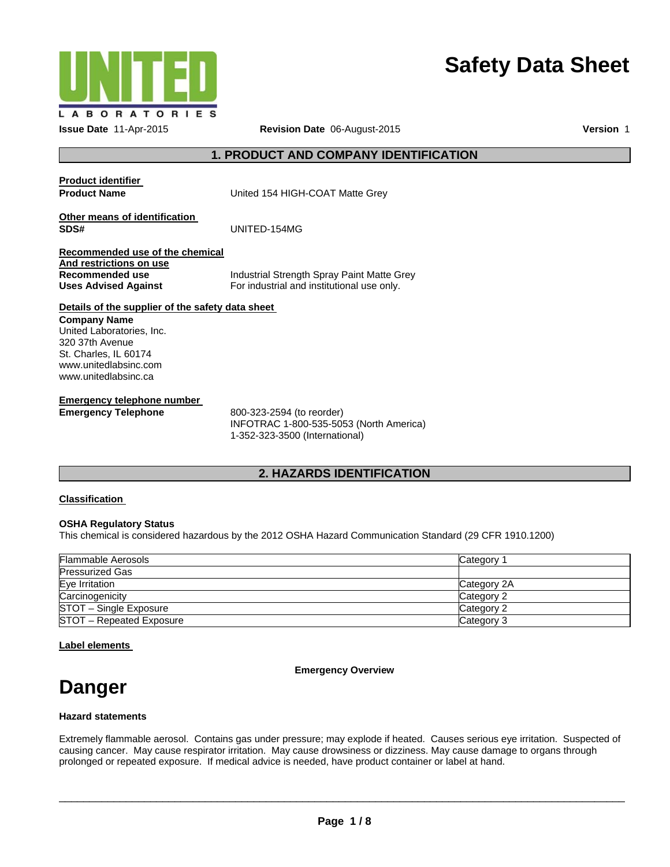

# **Safety Data Sheet**

# **1. PRODUCT AND COMPANY IDENTIFICATION**

| <b>Product identifier</b><br><b>Product Name</b>                                | United 154 HIGH-COAT Matte Grey            |
|---------------------------------------------------------------------------------|--------------------------------------------|
| Other means of identification<br>SDS#                                           | UNITED-154MG                               |
| Recommended use of the chemical<br>And restrictions on use<br>Recommended use   | Industrial Strength Spray Paint Matte Grey |
| <b>Uses Advised Against</b><br>Details of the supplier of the safety data sheet | For industrial and institutional use only. |
| <b>Company Name</b><br>Llnited Laboratories Lho                                 |                                            |

United Laboratories, Inc. 320 37th Avenue St. Charles, IL 60174 www.unitedlabsinc.com www.unitedlabsinc.ca

**Emergency telephone number Emergency Telephone** 800-323-2594 (to reorder)

INFOTRAC 1-800-535-5053 (North America) 1-352-323-3500 (International)

# **2. HAZARDS IDENTIFICATION**

#### **Classification**

#### **OSHA Regulatory Status**

This chemical is considered hazardous by the 2012 OSHA Hazard Communication Standard (29 CFR 1910.1200)

| <b>Flammable Aerosols</b> | Category    |
|---------------------------|-------------|
| <b>Pressurized Gas</b>    |             |
| Eye Irritation            | Category 2A |
| Carcinogenicity           | Category 2  |
| STOT - Single Exposure    | Category 2  |
| STOT - Repeated Exposure  | Category 3  |

# **Label elements**

**Emergency Overview** 

# **Danger**

# **Hazard statements**

Extremely flammable aerosol. Contains gas under pressure; may explode if heated. Causes serious eye irritation. Suspected of causing cancer. May cause respirator irritation. May cause drowsiness or dizziness. May cause damage to organs through prolonged or repeated exposure. If medical advice is needed, have product container or label at hand.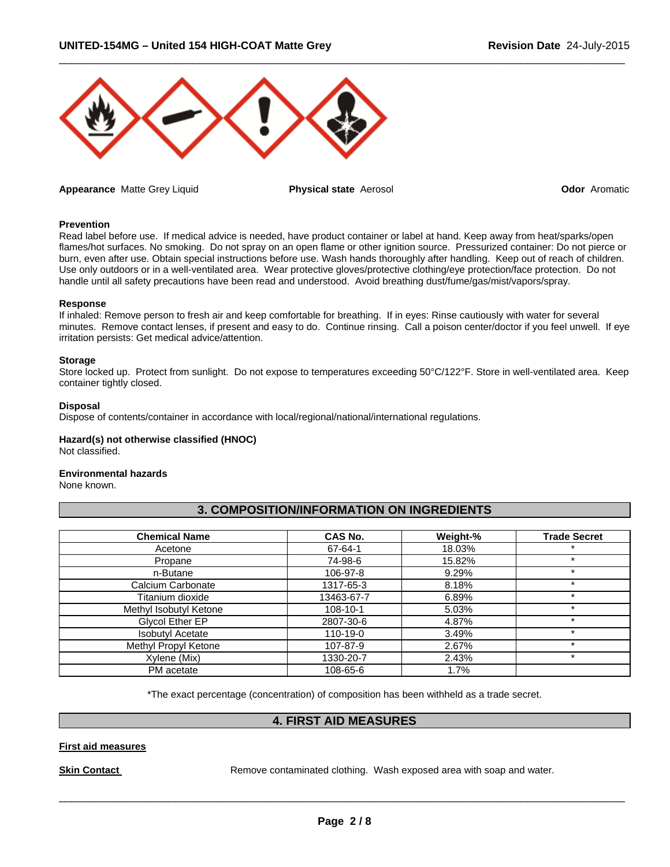

**Appearance** Matte Grey Liquid **Physical state** Aerosol **Odor** Aromatic

 $\Box$ 

#### **Prevention**

Read label before use. If medical advice is needed, have product container or label at hand. Keep away from heat/sparks/open flames/hot surfaces. No smoking. Do not spray on an open flame or other ignition source. Pressurized container: Do not pierce or burn, even after use. Obtain special instructions before use. Wash hands thoroughly after handling. Keep out of reach of children. Use only outdoors or in a well-ventilated area. Wear protective gloves/protective clothing/eye protection/face protection. Do not handle until all safety precautions have been read and understood. Avoid breathing dust/fume/gas/mist/vapors/spray.

#### **Response**

If inhaled: Remove person to fresh air and keep comfortable for breathing. If in eyes: Rinse cautiously with water for several minutes. Remove contact lenses, if present and easy to do. Continue rinsing. Call a poison center/doctor if you feel unwell. If eye irritation persists: Get medical advice/attention.

#### **Storage**

Store locked up. Protect from sunlight. Do not expose to temperatures exceeding 50°C/122°F. Store in well-ventilated area. Keep container tightly closed.

#### **Disposal**

Dispose of contents/container in accordance with local/regional/national/international regulations.

#### **Hazard(s) not otherwise classified (HNOC)**

Not classified.

#### **Environmental hazards**

None known.

# **3. COMPOSITION/INFORMATION ON INGREDIENTS**

| <b>Chemical Name</b>    | CAS No.    | Weight-% | <b>Trade Secret</b> |
|-------------------------|------------|----------|---------------------|
| Acetone                 | 67-64-1    | 18.03%   | $\ast$              |
| Propane                 | 74-98-6    | 15.82%   | $\star$             |
| n-Butane                | 106-97-8   | 9.29%    | $\star$             |
| Calcium Carbonate       | 1317-65-3  | 8.18%    | $\star$             |
| Titanium dioxide        | 13463-67-7 | 6.89%    | $\star$             |
| Methyl Isobutyl Ketone  | 108-10-1   | 5.03%    | $\star$             |
| Glycol Ether EP         | 2807-30-6  | 4.87%    | $\star$             |
| <b>Isobutyl Acetate</b> | 110-19-0   | 3.49%    | ÷                   |
| Methyl Propyl Ketone    | 107-87-9   | 2.67%    | $\star$             |
| Xylene (Mix)            | 1330-20-7  | 2.43%    | $\ast$              |
| PM acetate              | 108-65-6   | 1.7%     |                     |

\*The exact percentage (concentration) of composition has been withheld as a trade secret.

# **4. FIRST AID MEASURES**

#### **First aid measures**

**Skin Contact Remove contaminated clothing. Wash exposed area with soap and water.**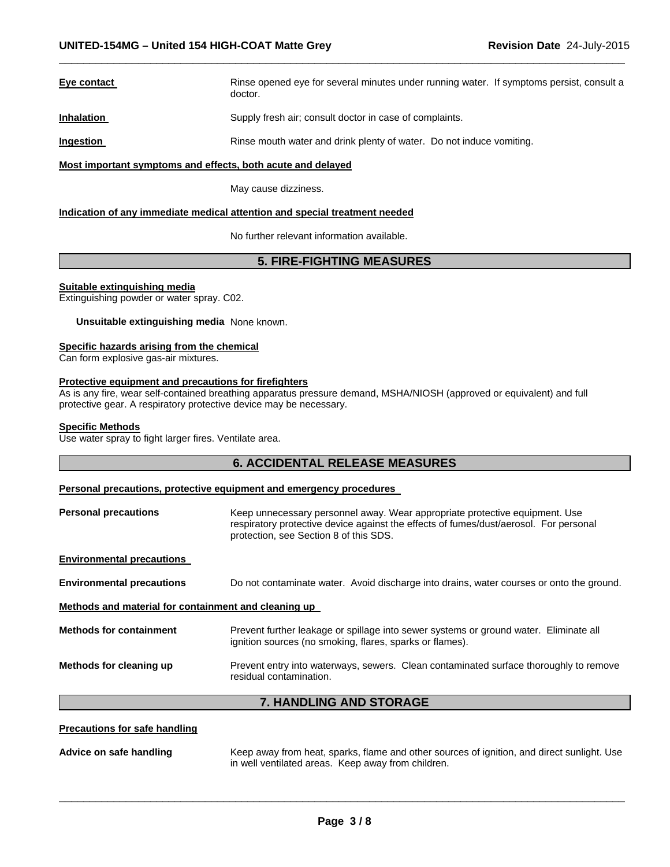# **Eye contact Rinse opened eye for several minutes under running water. If symptoms persist, consult a** doctor. **Inhalation Supply fresh air; consult doctor in case of complaints. Ingestion Rinse mouth water and drink plenty of water.** Do not induce vomiting.

 $\Box$ 

#### **Most important symptoms and effects, both acute and delayed**

May cause dizziness.

#### **Indication of any immediate medical attention and special treatment needed**

No further relevant information available.

# **5. FIRE-FIGHTING MEASURES**

#### **Suitable extinguishing media**

Extinguishing powder or water spray. C02.

**Unsuitable extinguishing media** None known.

#### **Specific hazards arising from the chemical**

Can form explosive gas-air mixtures.

#### **Protective equipment and precautions for firefighters**

As is any fire, wear self-contained breathing apparatus pressure demand, MSHA/NIOSH (approved or equivalent) and full protective gear. A respiratory protective device may be necessary.

#### **Specific Methods**

Use water spray to fight larger fires. Ventilate area.

# **6. ACCIDENTAL RELEASE MEASURES**

#### **Personal precautions, protective equipment and emergency procedures**

| Methods for cleaning up                              | Prevent entry into waterways, sewers. Clean contaminated surface thoroughly to remove<br>residual contamination.                                                                                               |  |  |
|------------------------------------------------------|----------------------------------------------------------------------------------------------------------------------------------------------------------------------------------------------------------------|--|--|
| <b>Methods for containment</b>                       | Prevent further leakage or spillage into sewer systems or ground water. Eliminate all<br>ignition sources (no smoking, flares, sparks or flames).                                                              |  |  |
| Methods and material for containment and cleaning up |                                                                                                                                                                                                                |  |  |
| <b>Environmental precautions</b>                     | Do not contaminate water. Avoid discharge into drains, water courses or onto the ground.                                                                                                                       |  |  |
| <b>Environmental precautions</b>                     |                                                                                                                                                                                                                |  |  |
| <b>Personal precautions</b>                          | Keep unnecessary personnel away. Wear appropriate protective equipment. Use<br>respiratory protective device against the effects of fumes/dust/aerosol. For personal<br>protection, see Section 8 of this SDS. |  |  |

# **7. HANDLING AND STORAGE**

#### **Precautions for safe handling**

**Advice on safe handling** Keep away from heat, sparks, flame and other sources of ignition, and direct sunlight. Use in well ventilated areas. Keep away from children.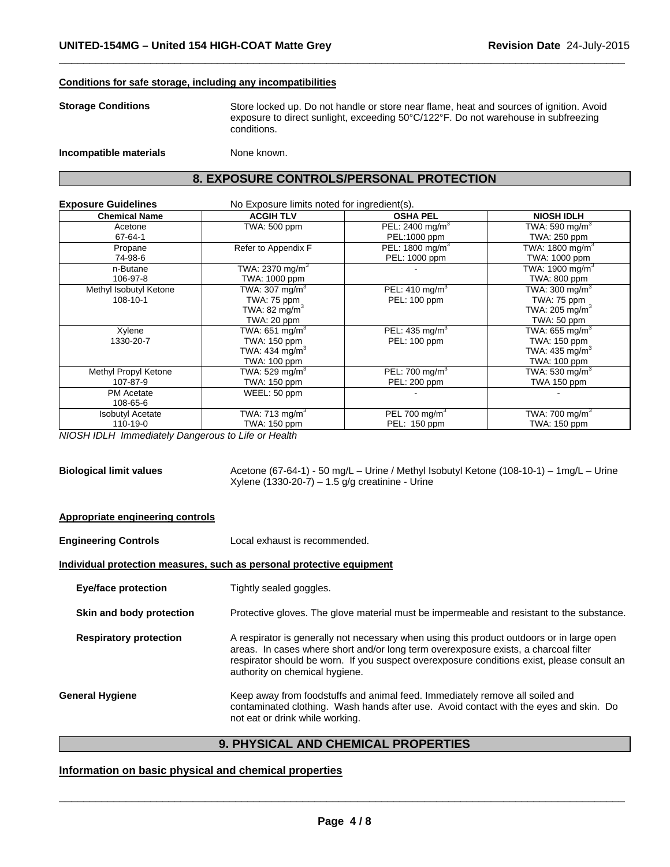#### **Conditions for safe storage, including any incompatibilities**

**Storage Conditions** Store locked up. Do not handle or store near flame, heat and sources of ignition. Avoid exposure to direct sunlight, exceeding 50°C/122°F. Do not warehouse in subfreezing conditions.

 $\Box$ 

**Incompatible materials None known.** 

# **8. EXPOSURE CONTROLS/PERSONAL PROTECTION**

| <b>Exposure Guidelines</b> | No Exposure limits noted for ingredient(s). |                             |                              |  |
|----------------------------|---------------------------------------------|-----------------------------|------------------------------|--|
| <b>Chemical Name</b>       | <b>ACGIH TLV</b>                            | <b>OSHA PEL</b>             | <b>NIOSH IDLH</b>            |  |
| Acetone                    | TWA: 500 ppm                                | PEL: 2400 mg/m <sup>3</sup> | TWA: 590 mg/m $^3$           |  |
| 67-64-1                    |                                             | PEL:1000 ppm                | TWA: 250 ppm                 |  |
| Propane                    | Refer to Appendix F                         | PEL: 1800 mg/m <sup>3</sup> | TWA: 1800 mg/m $3$           |  |
| 74-98-6                    |                                             | PEL: 1000 ppm               | TWA: 1000 ppm                |  |
| n-Butane                   | TWA: 2370 mg/m $3$                          |                             | TWA: 1900 mg/m <sup>3</sup>  |  |
| 106-97-8                   | TWA: 1000 ppm                               |                             | TWA: 800 ppm                 |  |
| Methyl Isobutyl Ketone     | TWA: 307 mg/m <sup>3</sup>                  | PEL: $410 \text{ mg/m}^3$   | TWA: 300 mg/m <sup>3</sup>   |  |
| 108-10-1                   | TWA: 75 ppm                                 | PEL: 100 ppm                | TWA: 75 ppm                  |  |
|                            | TWA: 82 mg/m <sup>3</sup>                   |                             | TWA: 205 mg/m $3$            |  |
|                            | TWA: 20 ppm                                 |                             | TWA: 50 ppm                  |  |
| Xylene                     | TWA: 651 mg/m <sup>3</sup>                  | PEL: $435 \text{ mg/m}^3$   | TWA: $655$ mg/m <sup>3</sup> |  |
| 1330-20-7                  | TWA: 150 ppm                                | PEL: 100 ppm                | TWA: 150 ppm                 |  |
|                            | TWA: 434 mg/m <sup>3</sup>                  |                             | TWA: 435 mg/m $3$            |  |
|                            | TWA: 100 ppm                                |                             | TWA: 100 ppm                 |  |
| Methyl Propyl Ketone       | TWA: 529 mg/m $3$                           | PEL: 700 mg/m <sup>3</sup>  | TWA: 530 mg/m $3$            |  |
| 107-87-9                   | TWA: 150 ppm                                | PEL: 200 ppm                | TWA 150 ppm                  |  |
| <b>PM</b> Acetate          | WEEL: 50 ppm                                |                             |                              |  |
| 108-65-6                   |                                             |                             |                              |  |
| <b>Isobutyl Acetate</b>    | TWA: 713 mg/m $3$                           | PEL 700 mg/m <sup>3</sup>   | TWA: 700 mg/m $3$            |  |
| 110-19-0                   | TWA: 150 ppm                                | PEL: 150 ppm                | TWA: 150 ppm                 |  |

*NIOSH IDLH Immediately Dangerous to Life or Health* 

| <b>Biological limit values</b> | Acetone (67-64-1) - 50 mg/L - Urine / Methyl Isobutyl Ketone (108-10-1) - 1mg/L - Urine |
|--------------------------------|-----------------------------------------------------------------------------------------|
|                                | Xylene (1330-20-7) – 1.5 g/g creatinine - Urine                                         |

#### **Appropriate engineering controls**

**Engineering Controls** Local exhaust is recommended.

#### **Individual protection measures, such as personal protective equipment**

**Eye/face protection Tightly sealed goggles.** 

**Skin and body protection** Protective gloves. The glove material must be impermeable and resistant to the substance.

**Respiratory protection** A respirator is generally not necessary when using this product outdoors or in large open areas. In cases where short and/or long term overexposure exists, a charcoal filter respirator should be worn. If you suspect overexposure conditions exist, please consult an authority on chemical hygiene.

**General Hygiene** Keep away from foodstuffs and animal feed. Immediately remove all soiled and contaminated clothing. Wash hands after use. Avoid contact with the eyes and skin. Do not eat or drink while working.

# **9. PHYSICAL AND CHEMICAL PROPERTIES**

# **Information on basic physical and chemical properties**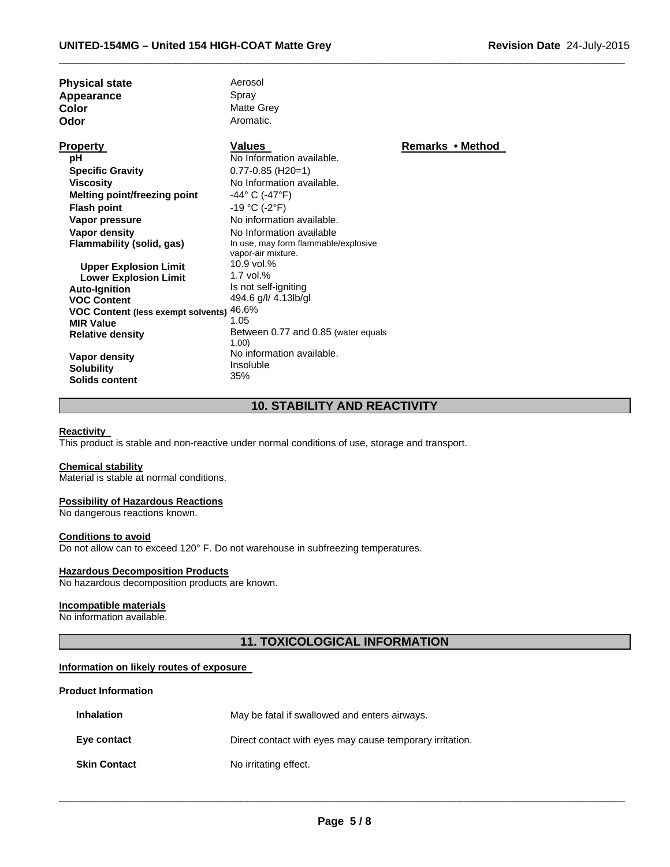| <b>Physical state</b><br>Appearance<br>Color<br>Odor                                                                                                                                                                                                           | Aerosol<br>Spray<br>Matte Grey<br>Aromatic.                                                                                                                                                                                                                   |                  |
|----------------------------------------------------------------------------------------------------------------------------------------------------------------------------------------------------------------------------------------------------------------|---------------------------------------------------------------------------------------------------------------------------------------------------------------------------------------------------------------------------------------------------------------|------------------|
| <b>Property</b><br>рH<br><b>Specific Gravity</b><br><b>Viscosity</b><br>Melting point/freezing point<br><b>Flash point</b><br>Vapor pressure<br>Vapor density<br>Flammability (solid, gas)                                                                     | <b>Values</b><br>No Information available.<br>$0.77 - 0.85$ (H20=1)<br>No Information available.<br>-44° C (-47°F)<br>$-19 °C (-2 °F)$<br>No information available.<br>No Information available<br>In use, may form flammable/explosive<br>vapor-air mixture. | Remarks • Method |
| <b>Upper Explosion Limit</b><br><b>Lower Explosion Limit</b><br><b>Auto-Ignition</b><br><b>VOC Content</b><br><b>VOC Content (less exempt solvents)</b><br><b>MIR Value</b><br><b>Relative density</b><br>Vapor density<br><b>Solubility</b><br>Solids content | 10.9 vol.%<br>$1.7$ vol. $%$<br>Is not self-igniting<br>494.6 g/l/ 4.13lb/gl<br>46.6%<br>1.05<br>Between 0.77 and 0.85 (water equals<br>1.00<br>No information available.<br>Insoluble<br>35%                                                                 |                  |

# **10. STABILITY AND REACTIVITY**

 $\Box$ 

### **Reactivity**

This product is stable and non-reactive under normal conditions of use, storage and transport.

#### **Chemical stability**

Material is stable at normal conditions.

#### **Possibility of Hazardous Reactions**

No dangerous reactions known.

#### **Conditions to avoid**

Do not allow can to exceed 120° F. Do not warehouse in subfreezing temperatures.

# **Hazardous Decomposition Products**

No hazardous decomposition products are known.

## **Incompatible materials**

No information available.

# **11. TOXICOLOGICAL INFORMATION**

#### **Information on likely routes of exposure**

#### **Product Information**

| <b>Inhalation</b>   | May be fatal if swallowed and enters airways.            |
|---------------------|----------------------------------------------------------|
| Eye contact         | Direct contact with eyes may cause temporary irritation. |
| <b>Skin Contact</b> | No irritating effect.                                    |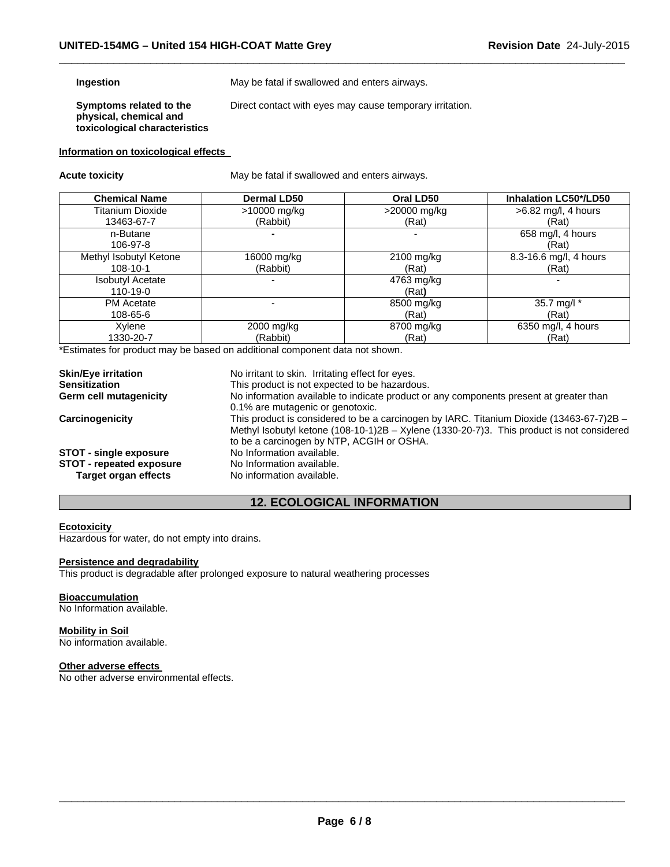#### **Ingestion**

May be fatal if swallowed and enters airways.

**Symptoms related to the physical, chemical and toxicological characteristics**  Direct contact with eyes may cause temporary irritation.

 $\Box$ 

#### **Information on toxicological effects**

**Acute toxicity** May be fatal if swallowed and enters airways.

| <b>Chemical Name</b>    | <b>Dermal LD50</b> | Oral LD50    | <b>Inhalation LC50*/LD50</b> |
|-------------------------|--------------------|--------------|------------------------------|
| Titanium Dioxide        | >10000 mg/kg       | >20000 mg/kg | $>6.82$ mg/l, 4 hours        |
| 13463-67-7              | (Rabbit)           | (Rat)        | (Rat)                        |
| n-Butane                |                    |              | 658 mg/l, 4 hours            |
| 106-97-8                |                    |              | (Rat)                        |
| Methyl Isobutyl Ketone  | 16000 mg/kg        | 2100 mg/kg   | 8.3-16.6 mg/l, 4 hours       |
| $108 - 10 - 1$          | (Rabbit)           | (Rat)        | (Rat)                        |
| <b>Isobutyl Acetate</b> |                    | 4763 mg/kg   |                              |
| 110-19-0                |                    | (Rat)        |                              |
| <b>PM</b> Acetate       |                    | 8500 mg/kg   | 35.7 mg/l *                  |
| 108-65-6                |                    | (Rat)        | (Rat)                        |
| Xylene                  | 2000 mg/kg         | 8700 mg/kg   | 6350 mg/l, 4 hours           |
| 1330-20-7               | (Rabbit)           | (Rat)        | (Rat)                        |

\*Estimates for product may be based on additional component data not shown.

| <b>Skin/Eye irritation</b>      | No irritant to skin. Irritating effect for eyes.                                                                                                                                                                                     |  |  |
|---------------------------------|--------------------------------------------------------------------------------------------------------------------------------------------------------------------------------------------------------------------------------------|--|--|
| <b>Sensitization</b>            | This product is not expected to be hazardous.                                                                                                                                                                                        |  |  |
| <b>Germ cell mutagenicity</b>   | No information available to indicate product or any components present at greater than<br>0.1% are mutagenic or genotoxic.                                                                                                           |  |  |
| Carcinogenicity                 | This product is considered to be a carcinogen by IARC. Titanium Dioxide (13463-67-7)2B $-$<br>Methyl Isobutyl ketone (108-10-1)2B – Xylene (1330-20-7)3. This product is not considered<br>to be a carcinogen by NTP, ACGIH or OSHA. |  |  |
| <b>STOT - single exposure</b>   | No Information available.                                                                                                                                                                                                            |  |  |
| <b>STOT - repeated exposure</b> | No Information available.                                                                                                                                                                                                            |  |  |
| Target organ effects            | No information available.                                                                                                                                                                                                            |  |  |

# **12. ECOLOGICAL INFORMATION**

#### **Ecotoxicity**

Hazardous for water, do not empty into drains.

### **Persistence and degradability**

This product is degradable after prolonged exposure to natural weathering processes

#### **Bioaccumulation**

No Information available.

#### **Mobility in Soil**

No information available.

#### **Other adverse effects**

No other adverse environmental effects.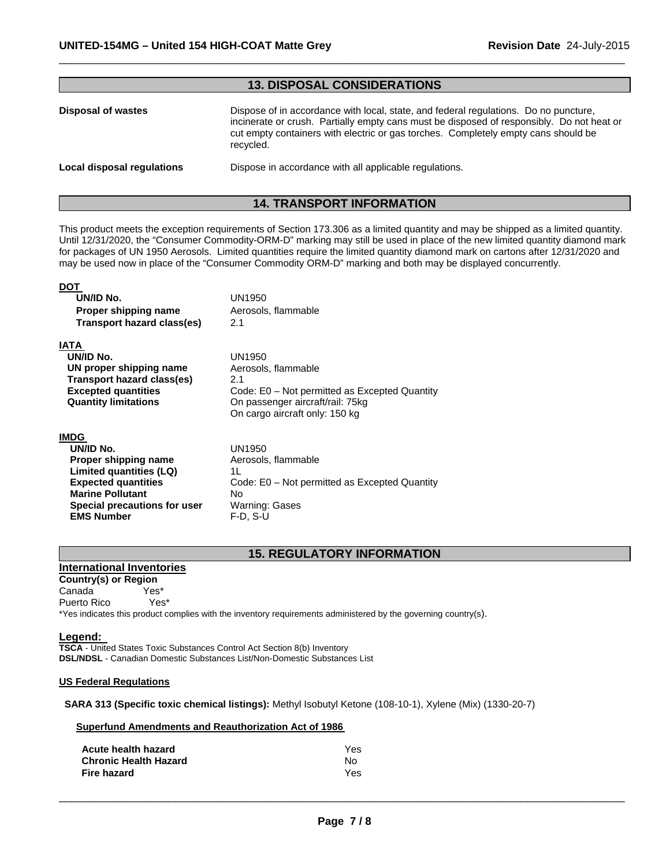| <b>13. DISPOSAL CONSIDERATIONS</b> |                                                                                                                                                                                                                                                                                      |  |
|------------------------------------|--------------------------------------------------------------------------------------------------------------------------------------------------------------------------------------------------------------------------------------------------------------------------------------|--|
| Disposal of wastes                 | Dispose of in accordance with local, state, and federal regulations. Do no puncture,<br>incinerate or crush. Partially empty cans must be disposed of responsibly. Do not heat or<br>cut empty containers with electric or gas torches. Completely empty cans should be<br>recycled. |  |
| <b>Local disposal regulations</b>  | Dispose in accordance with all applicable regulations.                                                                                                                                                                                                                               |  |

 $\Box$ 

# **14. TRANSPORT INFORMATION**

This product meets the exception requirements of Section 173.306 as a limited quantity and may be shipped as a limited quantity. Until 12/31/2020, the "Consumer Commodity-ORM-D" marking may still be used in place of the new limited quantity diamond mark for packages of UN 1950 Aerosols. Limited quantities require the limited quantity diamond mark on cartons after 12/31/2020 and may be used now in place of the "Consumer Commodity ORM-D" marking and both may be displayed concurrently.

#### **DOT UN/ID No.** UN1950 **Proper shipping name Aerosols**, flammable **Transport hazard class(es)** 2.1 **IATA UN/ID No. UN proper shipping name Transport hazard class(es) Excepted quantities Quantity limitations**  UN1950 Aerosols, flammable 2.1 Code: E0 – Not permitted as Excepted Quantity On passenger aircraft/rail: 75kg On cargo aircraft only: 150 kg **IMDG UN/ID No. Proper shipping name**  UN1950 Aerosols, flammable

 **Limited quantities (LQ) Expected quantities Marine Pollutant Special precautions for user EMS Number**  1L Code: E0 – Not permitted as Excepted Quantity No Warning: Gases F-D, S-U

# **15. REGULATORY INFORMATION**

# **International Inventories**

**Country(s) or Region**  Canada Yes\* Puerto Rico Yes\*

\*Yes indicates this product complies with the inventory requirements administered by the governing country(s).

**Legend: TSCA** - United States Toxic Substances Control Act Section 8(b) Inventory **DSL/NDSL** - Canadian Domestic Substances List/Non-Domestic Substances List

#### **US Federal Regulations**

**SARA 313 (Specific toxic chemical listings):** Methyl Isobutyl Ketone (108-10-1), Xylene (Mix) (1330-20-7)

|  |  |  |  |  | <b>Superfund Amendments and Reauthorization Act of 1986</b> |  |  |
|--|--|--|--|--|-------------------------------------------------------------|--|--|
|--|--|--|--|--|-------------------------------------------------------------|--|--|

| Acute health hazard          | <b>Yes</b> |
|------------------------------|------------|
| <b>Chronic Health Hazard</b> | N٥         |
| Fire hazard                  | Yes.       |